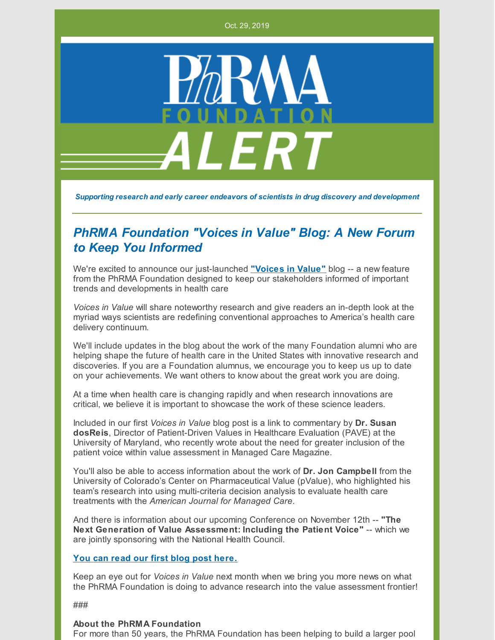Oct. 29, 2019



*Supporting research and early career endeavors of scientists in drug discovery and development*

## *PhRMA Foundation "Voices in Value" Blog: A New Forum to Keep You Informed*

We're excited to announce our just-launched **["Voices](http://www.phrmafoundation.org/2019/10/welcome-to-the-phrma-foundations-blog-voices-in-value/) in Value"** blog -- a new feature from the PhRMA Foundation designed to keep our stakeholders informed of important trends and developments in health care

*Voices in Value* will share noteworthy research and give readers an in-depth look at the myriad ways scientists are redefining conventional approaches to America's health care delivery continuum.

We'll include updates in the blog about the work of the many Foundation alumni who are helping shape the future of health care in the United States with innovative research and discoveries. If you are a Foundation alumnus, we encourage you to keep us up to date on your achievements. We want others to know about the great work you are doing.

At a time when health care is changing rapidly and when research innovations are critical, we believe it is important to showcase the work of these science leaders.

Included in our first *Voices in Value* blog post is a link to commentary by **Dr. Susan dosReis**, Director of Patient-Driven Values in Healthcare Evaluation (PAVE) at the University of Maryland, who recently wrote about the need for greater inclusion of the patient voice within value assessment in Managed Care Magazine.

You'll also be able to access information about the work of **Dr. Jon Campbell** from the University of Colorado's Center on Pharmaceutical Value (pValue), who highlighted his team's research into using multi-criteria decision analysis to evaluate health care treatments with the *American Journal for Managed Care*.

And there is information about our upcoming Conference on November 12th -- **"The Next Generation of Value Assessment: Including the Patient Voice"** -- which we are jointly sponsoring with the National Health Council.

## **You can read our first blog post [here.](http://www.phrmafoundation.org/2019/10/welcome-to-the-phrma-foundations-blog-voices-in-value/)**

Keep an eye out for *Voices in Value* next month when we bring you more news on what the PhRMA Foundation is doing to advance research into the value assessment frontier!

###

## **About the PhRMA Foundation**

For more than 50 years, the PhRMA Foundation has been helping to build a larger pool